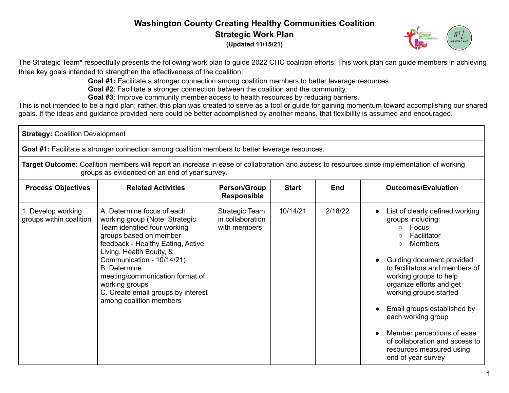## **Washington County Creating Healthy Communities Coalition Strategic Work Plan (Updated 11/15/21)**



The Strategic Team\* respectfully presents the following work plan to guide 2022 CHC coalition efforts. This work plan can guide members in achieving three key goals intended to strengthen the effectiveness of the coalition:

**Goal #1:** Facilitate a stronger connection among coalition members to better leverage resources.

**Goal #2**: Facilitate a stronger connection between the coalition and the community.

**Goal #3**: Improve community member access to health resources by reducing barriers.

This is not intended to be a rigid plan; rather, this plan was created to serve as a tool or guide for gaining momentum toward accomplishing our shared goals. If the ideas and guidance provided here could be better accomplished by another means, that flexibility is assumed and encouraged.

| <b>Strategy: Coalition Development</b>                                                                                                                                                      |                                                                                                                                                                                                                                                                                                                                                                   |                                                    |              |         |                                                                                                                                                                                                                                                                                                                                                                                                                                            |  |
|---------------------------------------------------------------------------------------------------------------------------------------------------------------------------------------------|-------------------------------------------------------------------------------------------------------------------------------------------------------------------------------------------------------------------------------------------------------------------------------------------------------------------------------------------------------------------|----------------------------------------------------|--------------|---------|--------------------------------------------------------------------------------------------------------------------------------------------------------------------------------------------------------------------------------------------------------------------------------------------------------------------------------------------------------------------------------------------------------------------------------------------|--|
| Goal #1: Facilitate a stronger connection among coalition members to better leverage resources.                                                                                             |                                                                                                                                                                                                                                                                                                                                                                   |                                                    |              |         |                                                                                                                                                                                                                                                                                                                                                                                                                                            |  |
| Target Outcome: Coalition members will report an increase in ease of collaboration and access to resources since implementation of working<br>groups as evidenced on an end of year survey. |                                                                                                                                                                                                                                                                                                                                                                   |                                                    |              |         |                                                                                                                                                                                                                                                                                                                                                                                                                                            |  |
| <b>Process Objectives</b>                                                                                                                                                                   | <b>Related Activities</b>                                                                                                                                                                                                                                                                                                                                         | <b>Person/Group</b><br><b>Responsible</b>          | <b>Start</b> | End     | <b>Outcomes/Evaluation</b>                                                                                                                                                                                                                                                                                                                                                                                                                 |  |
| 1. Develop working<br>groups within coalition                                                                                                                                               | A. Determine focus of each<br>working group (Note: Strategic<br>Team identified four working<br>groups based on member<br>feedback - Healthy Eating, Active<br>Living, Health Equity, &<br>Communication - 10/14/21)<br><b>B.</b> Determine<br>meeting/communication format of<br>working groups<br>C. Create email groups by interest<br>among coalition members | Strategic Team<br>in collaboration<br>with members | 10/14/21     | 2/18/22 | List of clearly defined working<br>groups including:<br>Focus<br>$\circ$<br>Facilitator<br><b>Members</b><br>$\circ$<br>Guiding document provided<br>to facilitators and members of<br>working groups to help<br>organize efforts and get<br>working groups started<br>Email groups established by<br>each working group<br>Member perceptions of ease<br>of collaboration and access to<br>resources measured using<br>end of year survey |  |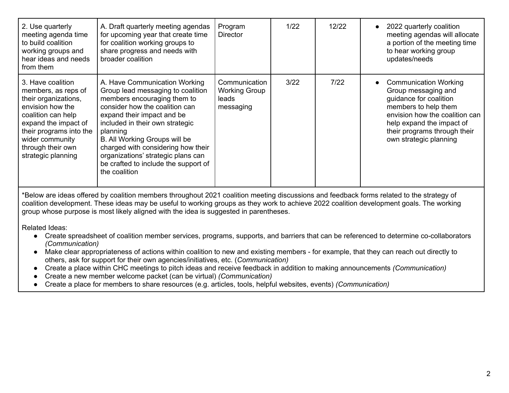| 2. Use quarterly<br>meeting agenda time<br>to build coalition<br>working groups and<br>hear ideas and needs<br>from them                                                                                                    | A. Draft quarterly meeting agendas<br>for upcoming year that create time<br>for coalition working groups to<br>share progress and needs with<br>broader coalition                                                                                                                                                                                                                      | Program<br><b>Director</b>                                  | 1/22 | 12/22 | 2022 quarterly coalition<br>$\bullet$<br>meeting agendas will allocate<br>a portion of the meeting time<br>to hear working group<br>updates/needs                                                                              |
|-----------------------------------------------------------------------------------------------------------------------------------------------------------------------------------------------------------------------------|----------------------------------------------------------------------------------------------------------------------------------------------------------------------------------------------------------------------------------------------------------------------------------------------------------------------------------------------------------------------------------------|-------------------------------------------------------------|------|-------|--------------------------------------------------------------------------------------------------------------------------------------------------------------------------------------------------------------------------------|
| 3. Have coalition<br>members, as reps of<br>their organizations,<br>envision how the<br>coalition can help<br>expand the impact of<br>their programs into the<br>wider community<br>through their own<br>strategic planning | A. Have Communication Working<br>Group lead messaging to coalition<br>members encouraging them to<br>consider how the coalition can<br>expand their impact and be<br>included in their own strategic<br>planning<br>B. All Working Groups will be<br>charged with considering how their<br>organizations' strategic plans can<br>be crafted to include the support of<br>the coalition | Communication<br><b>Working Group</b><br>leads<br>messaging | 3/22 | 7/22  | <b>Communication Working</b><br>Group messaging and<br>guidance for coalition<br>members to help them<br>envision how the coalition can<br>help expand the impact of<br>their programs through their<br>own strategic planning |

\*Below are ideas offered by coalition members throughout 2021 coalition meeting discussions and feedback forms related to the strategy of coalition development. These ideas may be useful to working groups as they work to achieve 2022 coalition development goals. The working group whose purpose is most likely aligned with the idea is suggested in parentheses.

Related Ideas:

- Create spreadsheet of coalition member services, programs, supports, and barriers that can be referenced to determine co-collaborators *(Communication)*
- Make clear appropriateness of actions within coalition to new and existing members for example, that they can reach out directly to others, ask for support for their own agencies/initiatives, etc. (*Communication)*
- Create a place within CHC meetings to pitch ideas and receive feedback in addition to making announcements *(Communication)*
- Create a new member welcome packet (can be virtual) *(Communication)*
- Create a place for members to share resources (e.g. articles, tools, helpful websites, events) *(Communication)*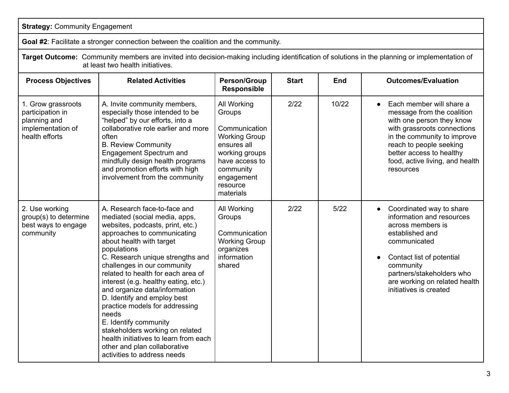## **Strategy:** Community Engagement

**Goal #2**: Facilitate a stronger connection between the coalition and the community.

**Target Outcome:** Community members are invited into decision-making including identification of solutions in the planning or implementation of at least two health initiatives.

| <b>Process Objectives</b>                                                                     | <b>Related Activities</b>                                                                                                                                                                                                                                                                                                                                                                                                                                                                                                                                                                                   | <b>Person/Group</b><br><b>Responsible</b>                                                                                                                             | <b>Start</b> | End    | <b>Outcomes/Evaluation</b>                                                                                                                                                                                                                               |
|-----------------------------------------------------------------------------------------------|-------------------------------------------------------------------------------------------------------------------------------------------------------------------------------------------------------------------------------------------------------------------------------------------------------------------------------------------------------------------------------------------------------------------------------------------------------------------------------------------------------------------------------------------------------------------------------------------------------------|-----------------------------------------------------------------------------------------------------------------------------------------------------------------------|--------------|--------|----------------------------------------------------------------------------------------------------------------------------------------------------------------------------------------------------------------------------------------------------------|
| 1. Grow grassroots<br>participation in<br>planning and<br>implementation of<br>health efforts | A. Invite community members,<br>especially those intended to be<br>"helped" by our efforts, into a<br>collaborative role earlier and more<br>often<br><b>B. Review Community</b><br><b>Engagement Spectrum and</b><br>mindfully design health programs<br>and promotion efforts with high<br>involvement from the community                                                                                                                                                                                                                                                                                 | All Working<br>Groups<br>Communication<br><b>Working Group</b><br>ensures all<br>working groups<br>have access to<br>community<br>engagement<br>resource<br>materials | 2/22         | 10/22  | Each member will share a<br>message from the coalition<br>with one person they know<br>with grassroots connections<br>in the community to improve<br>reach to people seeking<br>better access to healthy<br>food, active living, and health<br>resources |
| 2. Use working<br>group(s) to determine<br>best ways to engage<br>community                   | A. Research face-to-face and<br>mediated (social media, apps,<br>websites, podcasts, print, etc.)<br>approaches to communicating<br>about health with target<br>populations<br>C. Research unique strengths and<br>challenges in our community<br>related to health for each area of<br>interest (e.g. healthy eating, etc.)<br>and organize data/information<br>D. Identify and employ best<br>practice models for addressing<br>needs<br>E. Identify community<br>stakeholders working on related<br>health initiatives to learn from each<br>other and plan collaborative<br>activities to address needs | All Working<br>Groups<br>Communication<br><b>Working Group</b><br>organizes<br>information<br>shared                                                                  | 2/22         | $5/22$ | Coordinated way to share<br>information and resources<br>across members is<br>established and<br>communicated<br>Contact list of potential<br>community<br>partners/stakeholders who<br>are working on related health<br>initiatives is created          |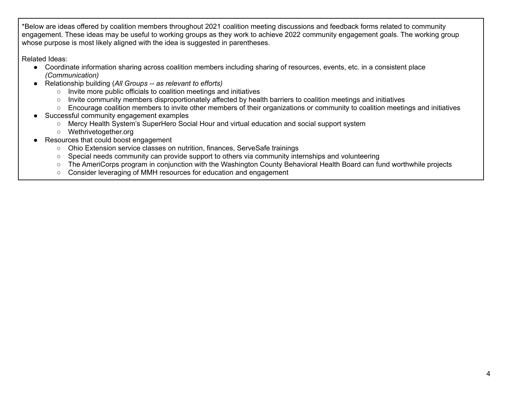\*Below are ideas offered by coalition members throughout 2021 coalition meeting discussions and feedback forms related to community engagement. These ideas may be useful to working groups as they work to achieve 2022 community engagement goals. The working group whose purpose is most likely aligned with the idea is suggested in parentheses.

Related Ideas:

- Coordinate information sharing across coalition members including sharing of resources, events, etc. in a consistent place *(Communication)*
- Relationship building (*All Groups -- as relevant to efforts)*
	- Invite more public officials to coalition meetings and initiatives
	- Invite community members disproportionately affected by health barriers to coalition meetings and initiatives
	- Encourage coalition members to invite other members of their organizations or community to coalition meetings and initiatives
- Successful community engagement examples
	- Mercy Health System's SuperHero Social Hour and virtual education and social support system
	- Wethrivetogether.org
- Resources that could boost engagement
	- Ohio Extension service classes on nutrition, finances, ServeSafe trainings
	- Special needs community can provide support to others via community internships and volunteering
	- The AmeriCorps program in conjunction with the Washington County Behavioral Health Board can fund worthwhile projects
	- Consider leveraging of MMH resources for education and engagement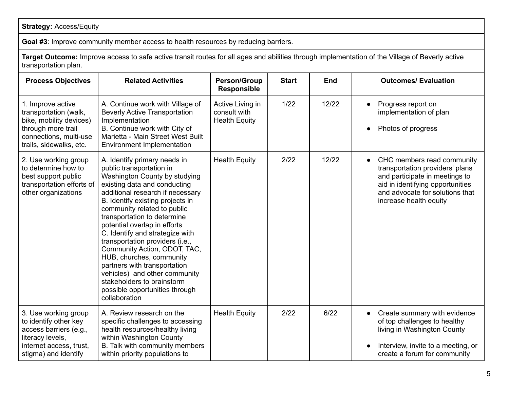## **Strategy:** Access/Equity

**Goal #3**: Improve community member access to health resources by reducing barriers.

**Target Outcome:** Improve access to safe active transit routes for all ages and abilities through implementation of the Village of Beverly active transportation plan.

| <b>Process Objectives</b>                                                                                                                        | <b>Related Activities</b>                                                                                                                                                                                                                                                                                                                                                                                                                                                                                                                                                           | <b>Person/Group</b><br><b>Responsible</b>                | <b>Start</b> | End   | <b>Outcomes/Evaluation</b>                                                                                                                                                                                    |
|--------------------------------------------------------------------------------------------------------------------------------------------------|-------------------------------------------------------------------------------------------------------------------------------------------------------------------------------------------------------------------------------------------------------------------------------------------------------------------------------------------------------------------------------------------------------------------------------------------------------------------------------------------------------------------------------------------------------------------------------------|----------------------------------------------------------|--------------|-------|---------------------------------------------------------------------------------------------------------------------------------------------------------------------------------------------------------------|
| 1. Improve active<br>transportation (walk,<br>bike, mobility devices)<br>through more trail<br>connections, multi-use<br>trails, sidewalks, etc. | A. Continue work with Village of<br><b>Beverly Active Transportation</b><br>Implementation<br>B. Continue work with City of<br>Marietta - Main Street West Built<br><b>Environment Implementation</b>                                                                                                                                                                                                                                                                                                                                                                               | Active Living in<br>consult with<br><b>Health Equity</b> | 1/22         | 12/22 | Progress report on<br>implementation of plan<br>Photos of progress                                                                                                                                            |
| 2. Use working group<br>to determine how to<br>best support public<br>transportation efforts of<br>other organizations                           | A. Identify primary needs in<br>public transportation in<br>Washington County by studying<br>existing data and conducting<br>additional research if necessary<br>B. Identify existing projects in<br>community related to public<br>transportation to determine<br>potential overlap in efforts<br>C. Identify and strategize with<br>transportation providers (i.e.,<br>Community Action, ODOT, TAC,<br>HUB, churches, community<br>partners with transportation<br>vehicles) and other community<br>stakeholders to brainstorm<br>possible opportunities through<br>collaboration | <b>Health Equity</b>                                     | 2/22         | 12/22 | CHC members read community<br>$\bullet$<br>transportation providers' plans<br>and participate in meetings to<br>aid in identifying opportunities<br>and advocate for solutions that<br>increase health equity |
| 3. Use working group<br>to identify other key<br>access barriers (e.g.,<br>literacy levels,<br>internet access, trust,<br>stigma) and identify   | A. Review research on the<br>specific challenges to accessing<br>health resources/healthy living<br>within Washington County<br>B. Talk with community members<br>within priority populations to                                                                                                                                                                                                                                                                                                                                                                                    | <b>Health Equity</b>                                     | 2/22         | 6/22  | Create summary with evidence<br>of top challenges to healthy<br>living in Washington County<br>Interview, invite to a meeting, or<br>create a forum for community                                             |